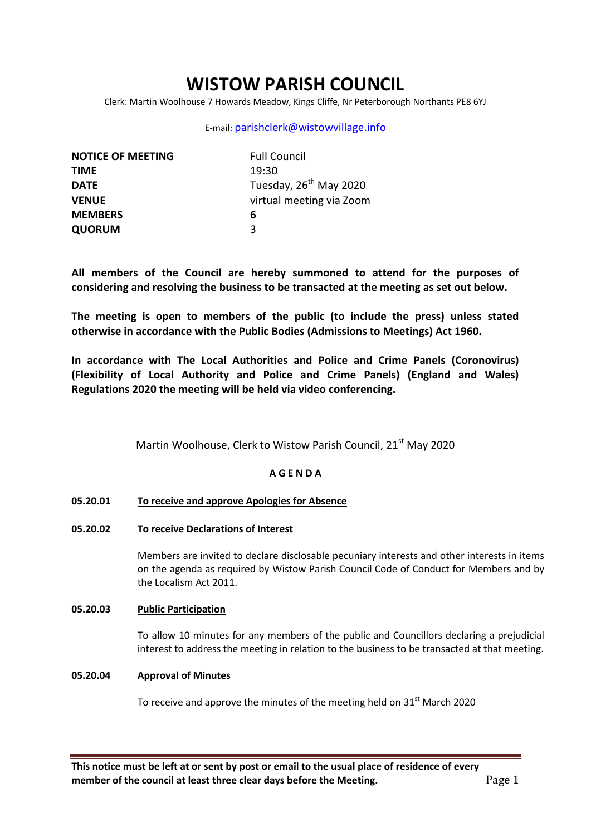# **WISTOW PARISH COUNCIL**

Clerk: Martin Woolhouse 7 Howards Meadow, Kings Cliffe, Nr Peterborough Northants PE8 6YJ

### E-mail: [parishclerk@wistowvillage.info](mailto:parishclerk@wistowvillage.info)

| <b>NOTICE OF MEETING</b> | <b>Full Council</b>                |
|--------------------------|------------------------------------|
| <b>TIME</b>              | 19:30                              |
| <b>DATE</b>              | Tuesday, 26 <sup>th</sup> May 2020 |
| <b>VENUE</b>             | virtual meeting via Zoom           |
| <b>MEMBERS</b>           | 6                                  |
| <b>QUORUM</b>            | ર                                  |

**All members of the Council are hereby summoned to attend for the purposes of considering and resolving the business to be transacted at the meeting as set out below.**

**The meeting is open to members of the public (to include the press) unless stated otherwise in accordance with the Public Bodies (Admissions to Meetings) Act 1960.**

**In accordance with The Local Authorities and Police and Crime Panels (Coronovirus) (Flexibility of Local Authority and Police and Crime Panels) (England and Wales) Regulations 2020 the meeting will be held via video conferencing.** 

Martin Woolhouse, Clerk to Wistow Parish Council, 21<sup>st</sup> May 2020

### **A G E N D A**

- **05.20.01 To receive and approve Apologies for Absence**
- **05.20.02 To receive Declarations of Interest**

Members are invited to declare disclosable pecuniary interests and other interests in items on the agenda as required by Wistow Parish Council Code of Conduct for Members and by the Localism Act 2011.

### **05.20.03 Public Participation**

To allow 10 minutes for any members of the public and Councillors declaring a prejudicial interest to address the meeting in relation to the business to be transacted at that meeting.

### **05.20.04 Approval of Minutes**

To receive and approve the minutes of the meeting held on  $31<sup>st</sup>$  March 2020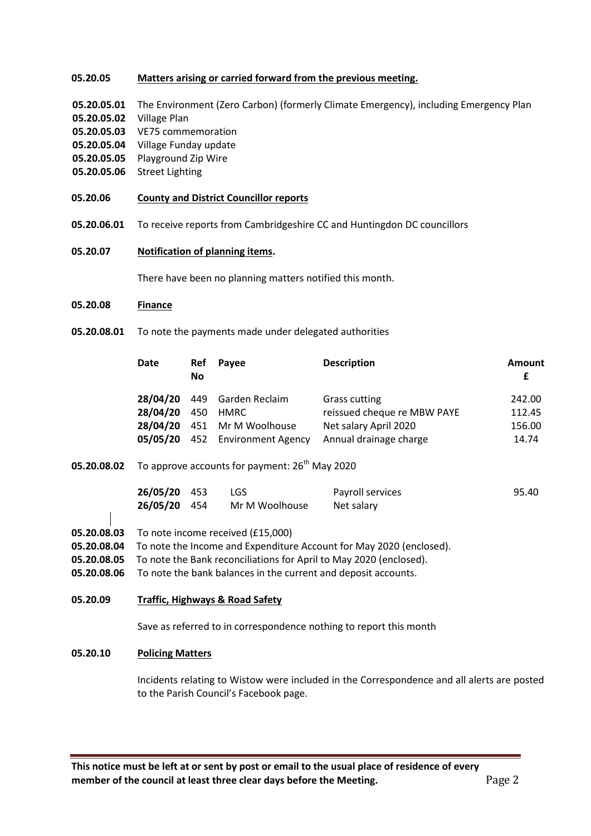#### **05.20.05 Matters arising or carried forward from the previous meeting.**

- **05.20.05.01** The Environment (Zero Carbon) (formerly Climate Emergency), including Emergency Plan
- **05.20.05.02** Village Plan
- **05.20.05.03** VE75 commemoration
- **05.20.05.04** Village Funday update
- **05.20.05.05** Playground Zip Wire
- **05.20.05.06** Street Lighting
- **05.20.06 County and District Councillor reports**
- **05.20.06.01** To receive reports from Cambridgeshire CC and Huntingdon DC councillors
- **05.20.07 Notification of planning items.**

There have been no planning matters notified this month.

#### **05.20.08 Finance**

**05.20.08.01** To note the payments made under delegated authorities

| <b>Date</b>       | Ref<br>No | Payee                                                                                         | <b>Description</b>                                                                              | Amount<br>£                         |
|-------------------|-----------|-----------------------------------------------------------------------------------------------|-------------------------------------------------------------------------------------------------|-------------------------------------|
| 28/04/20 450 HMRC |           | 28/04/20 449 Garden Reclaim<br>28/04/20 451 Mr M Woolhouse<br>05/05/20 452 Environment Agency | Grass cutting<br>reissued cheque re MBW PAYE<br>Net salary April 2020<br>Annual drainage charge | 242.00<br>112.45<br>156.00<br>14.74 |

**05.20.08.02** To approve accounts for payment: 26<sup>th</sup> May 2020

| 26/05/20 453 | LGS.           | Payroll services | 95.40 |
|--------------|----------------|------------------|-------|
| 26/05/20 454 | Mr M Woolhouse | Net salary       |       |

- **05.20.08.03** To note income received (£15,000)
- **05.20.08.04** To note the Income and Expenditure Account for May 2020 (enclosed).
- **05.20.08.05** To note the Bank reconciliations for April to May 2020 (enclosed).
- **05.20.08.06** To note the bank balances in the current and deposit accounts.

**05.20.09 Traffic, Highways & Road Safety**

Save as referred to in correspondence nothing to report this month

### **05.20.10 Policing Matters**

Incidents relating to Wistow were included in the Correspondence and all alerts are posted to the Parish Council's Facebook page.